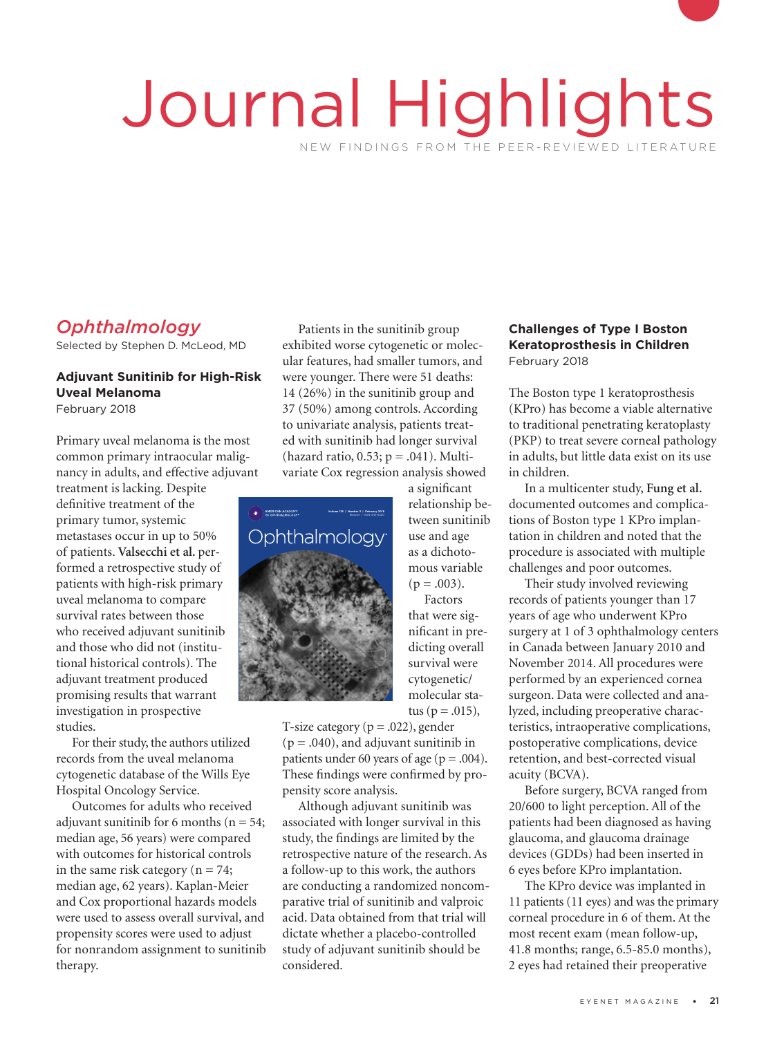# Journal Highlights NEW FINDINGS FROM THE PEER-REVIEWED LITERATURE

# *Ophthalmology*

Selected by Stephen D. McLeod, MD

### **Adjuvant Sunitinib for High-Risk Uveal Melanoma**

February 2018

Primary uveal melanoma is the most common primary intraocular malignancy in adults, and effective adjuvant

treatment is lacking. Despite definitive treatment of the primary tumor, systemic metastases occur in up to 50% of patients. **Valsecchi et al.** performed a retrospective study of patients with high-risk primary<br>uveal melanoma to compare<br>survival rates between those uveal melanoma to compare survival rates between those who received adjuvant sunitinib and those who did not (institutional historical controls). The adjuvant treatment produced promising results that warrant investigation in prospective studies.

For their study, the authors utilized records from the uveal melanoma cytogenetic database of the Wills Eye Hospital Oncology Service.

Outcomes for adults who received adjuvant sunitinib for 6 months ( $n = 54$ ; median age, 56 years) were compared with outcomes for historical controls in the same risk category ( $n = 74$ ; median age, 62 years). Kaplan-Meier and Cox proportional hazards models were used to assess overall survival, and propensity scores were used to adjust for nonrandom assignment to sunitinib therapy.

Patients in the sunitinib group exhibited worse cytogenetic or molecular features, had smaller tumors, and were younger. There were 51 deaths: 14 (26%) in the sunitinib group and 37 (50%) among controls. According to univariate analysis, patients treated with sunitinib had longer survival (hazard ratio,  $0.53$ ;  $p = .041$ ). Multivariate Cox regression analysis showed



a significant relationship between sunitinib use and age as a dichotomous variable  $(p=.003)$ . Factors that were significant in predicting overall survival were cytogenetic/ molecular sta-

tus ( $p = .015$ ), T-size category ( $p = .022$ ), gender  $(p = .040)$ , and adjuvant sunitinib in patients under 60 years of age ( $p = .004$ ). These findings were confirmed by propensity score analysis.

Although adjuvant sunitinib was associated with longer survival in this study, the findings are limited by the retrospective nature of the research. As a follow-up to this work, the authors are conducting a randomized noncomparative trial of sunitinib and valproic acid. Data obtained from that trial will dictate whether a placebo-controlled study of adjuvant sunitinib should be considered.

#### **Challenges of Type I Boston Keratoprosthesis in Children**  February 2018

The Boston type 1 keratoprosthesis (KPro) has become a viable alternative to traditional penetrating keratoplasty (PKP) to treat severe corneal pathology in adults, but little data exist on its use in children.

In a multicenter study, **Fung et al.**  documented outcomes and complications of Boston type 1 KPro implantation in children and noted that the procedure is associated with multiple challenges and poor outcomes.

Their study involved reviewing records of patients younger than 17 years of age who underwent KPro surgery at 1 of 3 ophthalmology centers in Canada between January 2010 and November 2014. All procedures were performed by an experienced cornea surgeon. Data were collected and analyzed, including preoperative characteristics, intraoperative complications, postoperative complications, device retention, and best-corrected visual acuity (BCVA).

Before surgery, BCVA ranged from 20/600 to light perception. All of the patients had been diagnosed as having glaucoma, and glaucoma drainage devices (GDDs) had been inserted in 6 eyes before KPro implantation.

The KPro device was implanted in 11 patients (11 eyes) and was the primary corneal procedure in 6 of them. At the most recent exam (mean follow-up, 41.8 months; range, 6.5-85.0 months), 2 eyes had retained their preoperative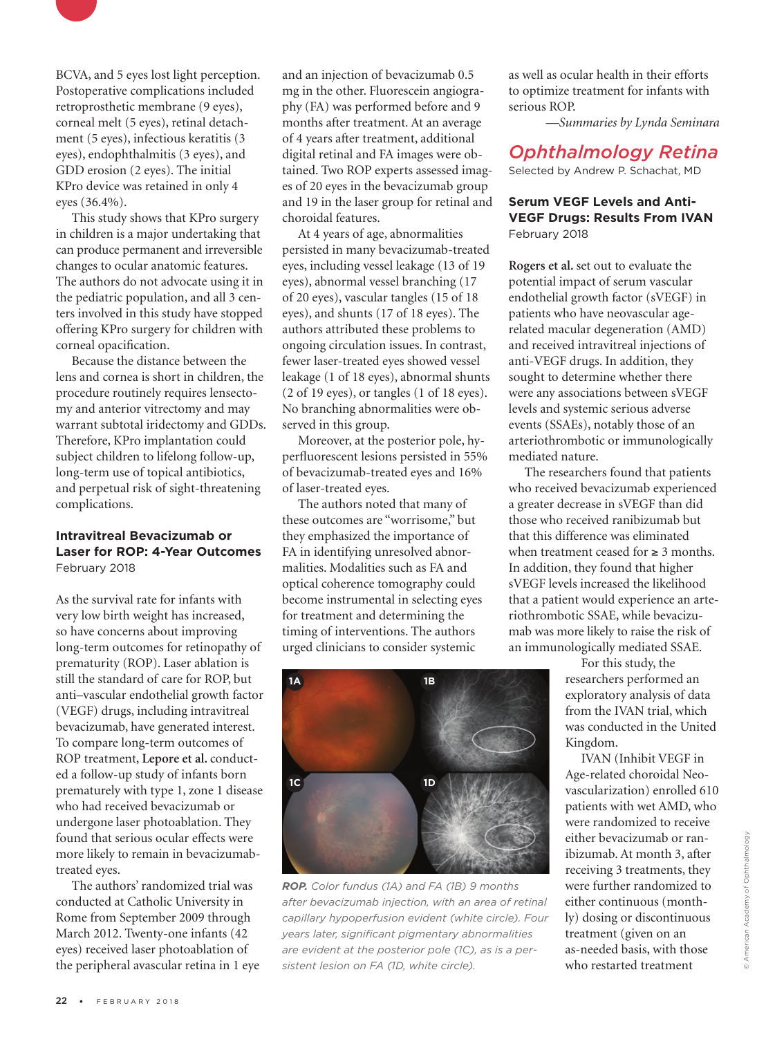

BCVA, and 5 eyes lost light perception. Postoperative complications included retroprosthetic membrane (9 eyes), corneal melt (5 eyes), retinal detachment (5 eyes), infectious keratitis (3 eyes), endophthalmitis (3 eyes), and GDD erosion (2 eyes). The initial KPro device was retained in only 4 eyes (36.4%).

This study shows that KPro surgery in children is a major undertaking that can produce permanent and irreversible changes to ocular anatomic features. The authors do not advocate using it in the pediatric population, and all 3 centers involved in this study have stopped offering KPro surgery for children with corneal opacification.

Because the distance between the lens and cornea is short in children, the procedure routinely requires lensectomy and anterior vitrectomy and may warrant subtotal iridectomy and GDDs. Therefore, KPro implantation could subject children to lifelong follow-up, long-term use of topical antibiotics, and perpetual risk of sight-threatening complications.

#### **Intravitreal Bevacizumab or Laser for ROP: 4-Year Outcomes** February 2018

As the survival rate for infants with very low birth weight has increased, so have concerns about improving long-term outcomes for retinopathy of prematurity (ROP). Laser ablation is still the standard of care for ROP, but anti–vascular endothelial growth factor (VEGF) drugs, including intravitreal bevacizumab, have generated interest. To compare long-term outcomes of ROP treatment, **Lepore et al.** conducted a follow-up study of infants born prematurely with type 1, zone 1 disease who had received bevacizumab or undergone laser photoablation. They found that serious ocular effects were more likely to remain in bevacizumabtreated eyes.

The authors' randomized trial was conducted at Catholic University in Rome from September 2009 through March 2012. Twenty-one infants (42 eyes) received laser photoablation of the peripheral avascular retina in 1 eye and an injection of bevacizumab 0.5 mg in the other. Fluorescein angiography (FA) was performed before and 9 months after treatment. At an average of 4 years after treatment, additional digital retinal and FA images were obtained. Two ROP experts assessed images of 20 eyes in the bevacizumab group and 19 in the laser group for retinal and choroidal features.

At 4 years of age, abnormalities persisted in many bevacizumab-treated eyes, including vessel leakage (13 of 19 eyes), abnormal vessel branching (17 of 20 eyes), vascular tangles (15 of 18 eyes), and shunts (17 of 18 eyes). The authors attributed these problems to ongoing circulation issues. In contrast, fewer laser-treated eyes showed vessel leakage (1 of 18 eyes), abnormal shunts (2 of 19 eyes), or tangles (1 of 18 eyes). No branching abnormalities were observed in this group.

Moreover, at the posterior pole, hyperfluorescent lesions persisted in 55% of bevacizumab-treated eyes and 16% of laser-treated eyes.

The authors noted that many of these outcomes are "worrisome," but they emphasized the importance of FA in identifying unresolved abnormalities. Modalities such as FA and optical coherence tomography could become instrumental in selecting eyes for treatment and determining the timing of interventions. The authors urged clinicians to consider systemic

as well as ocular health in their efforts to optimize treatment for infants with serious ROP.

*—Summaries by Lynda Seminara*

## *Ophthalmology Retina*

Selected by Andrew P. Schachat, MD

#### **Serum VEGF Levels and Anti-VEGF Drugs: Results From IVAN** February 2018

**Rogers et al.** set out to evaluate the potential impact of serum vascular endothelial growth factor (sVEGF) in patients who have neovascular agerelated macular degeneration (AMD) and received intravitreal injections of anti-VEGF drugs. In addition, they sought to determine whether there were any associations between sVEGF levels and systemic serious adverse events (SSAEs), notably those of an arteriothrombotic or immunologically mediated nature.

The researchers found that patients who received bevacizumab experienced a greater decrease in sVEGF than did those who received ranibizumab but that this difference was eliminated when treatment ceased for  $\geq 3$  months. In addition, they found that higher sVEGF levels increased the likelihood that a patient would experience an arteriothrombotic SSAE, while bevacizumab was more likely to raise the risk of an immunologically mediated SSAE.

> For this study, the researchers performed an exploratory analysis of data from the IVAN trial, which was conducted in the United Kingdom.

IVAN (Inhibit VEGF in Age-related choroidal Neovascularization) enrolled 610 patients with wet AMD, who were randomized to receive either bevacizumab or ranibizumab. At month 3, after receiving 3 treatments, they were further randomized to either continuous (monthly) dosing or discontinuous treatment (given on an as-needed basis, with those who restarted treatment



*ROP. Color fundus (1A) and FA (1B) 9 months after bevacizumab injection, with an area of retinal capillary hypoperfusion evident (white circle). Four years later, significant pigmentary abnormalities are evident at the posterior pole (1C), as is a persistent lesion on FA (1D, white circle).*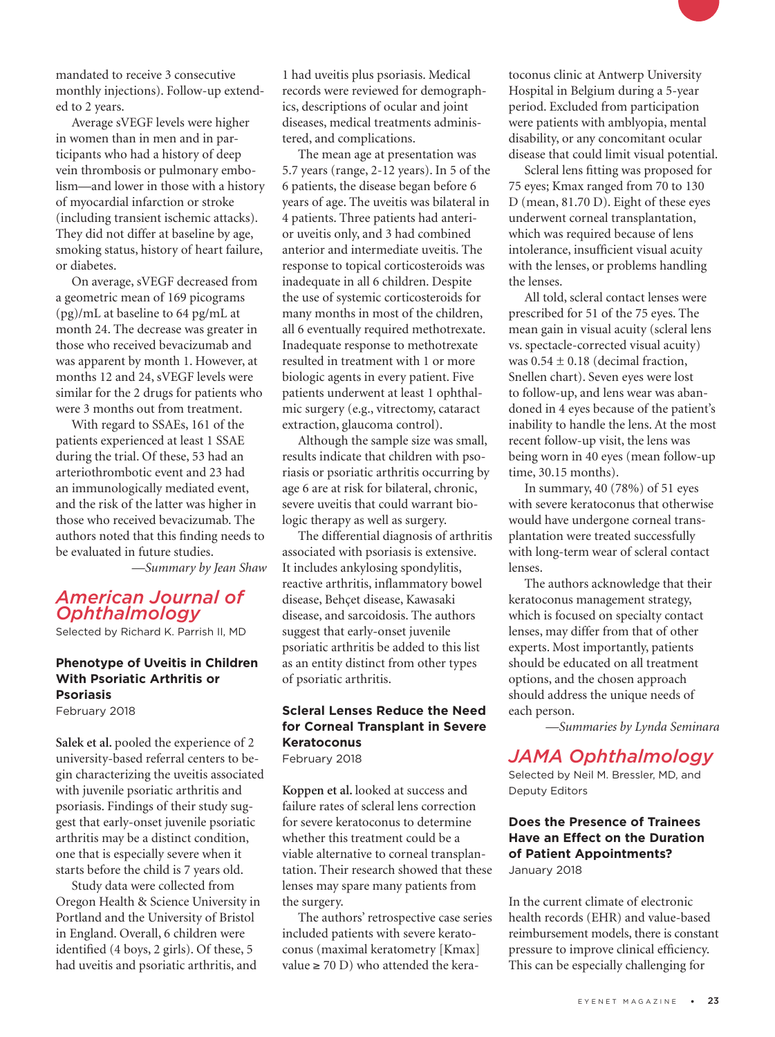mandated to receive 3 consecutive monthly injections). Follow-up extended to 2 years.

Average sVEGF levels were higher in women than in men and in participants who had a history of deep vein thrombosis or pulmonary embolism—and lower in those with a history of myocardial infarction or stroke (including transient ischemic attacks). They did not differ at baseline by age, smoking status, history of heart failure, or diabetes.

On average, sVEGF decreased from a geometric mean of 169 picograms (pg)/mL at baseline to 64 pg/mL at month 24. The decrease was greater in those who received bevacizumab and was apparent by month 1. However, at months 12 and 24, sVEGF levels were similar for the 2 drugs for patients who were 3 months out from treatment.

With regard to SSAEs, 161 of the patients experienced at least 1 SSAE during the trial. Of these, 53 had an arteriothrombotic event and 23 had an immunologically mediated event, and the risk of the latter was higher in those who received bevacizumab. The authors noted that this finding needs to be evaluated in future studies.

*—Summary by Jean Shaw* 

## *American Journal of Ophthalmology*

Selected by Richard K. Parrish II, MD

## **Phenotype of Uveitis in Children With Psoriatic Arthritis or Psoriasis**

February 2018

**Salek et al.** pooled the experience of 2 university-based referral centers to begin characterizing the uveitis associated with juvenile psoriatic arthritis and psoriasis. Findings of their study suggest that early-onset juvenile psoriatic arthritis may be a distinct condition, one that is especially severe when it starts before the child is 7 years old.

Study data were collected from Oregon Health & Science University in Portland and the University of Bristol in England. Overall, 6 children were identified (4 boys, 2 girls). Of these, 5 had uveitis and psoriatic arthritis, and

1 had uveitis plus psoriasis. Medical records were reviewed for demographics, descriptions of ocular and joint diseases, medical treatments administered, and complications.

The mean age at presentation was 5.7 years (range, 2-12 years). In 5 of the 6 patients, the disease began before 6 years of age. The uveitis was bilateral in 4 patients. Three patients had anterior uveitis only, and 3 had combined anterior and intermediate uveitis. The response to topical corticosteroids was inadequate in all 6 children. Despite the use of systemic corticosteroids for many months in most of the children, all 6 eventually required methotrexate. Inadequate response to methotrexate resulted in treatment with 1 or more biologic agents in every patient. Five patients underwent at least 1 ophthalmic surgery (e.g., vitrectomy, cataract extraction, glaucoma control).

Although the sample size was small, results indicate that children with psoriasis or psoriatic arthritis occurring by age 6 are at risk for bilateral, chronic, severe uveitis that could warrant biologic therapy as well as surgery.

The differential diagnosis of arthritis associated with psoriasis is extensive. It includes ankylosing spondylitis, reactive arthritis, inflammatory bowel disease, Behçet disease, Kawasaki disease, and sarcoidosis. The authors suggest that early-onset juvenile psoriatic arthritis be added to this list as an entity distinct from other types of psoriatic arthritis.

#### **Scleral Lenses Reduce the Need for Corneal Transplant in Severe Keratoconus** February 2018

**Koppen et al.** looked at success and failure rates of scleral lens correction for severe keratoconus to determine whether this treatment could be a viable alternative to corneal transplantation. Their research showed that these lenses may spare many patients from the surgery.

The authors' retrospective case series included patients with severe keratoconus (maximal keratometry [Kmax] value  $\geq$  70 D) who attended the kera-

toconus clinic at Antwerp University Hospital in Belgium during a 5-year period. Excluded from participation were patients with amblyopia, mental disability, or any concomitant ocular disease that could limit visual potential.

Scleral lens fitting was proposed for 75 eyes; Kmax ranged from 70 to 130 D (mean, 81.70 D). Eight of these eyes underwent corneal transplantation, which was required because of lens intolerance, insufficient visual acuity with the lenses, or problems handling the lenses.

All told, scleral contact lenses were prescribed for 51 of the 75 eyes. The mean gain in visual acuity (scleral lens vs. spectacle-corrected visual acuity) was  $0.54 \pm 0.18$  (decimal fraction, Snellen chart). Seven eyes were lost to follow-up, and lens wear was abandoned in 4 eyes because of the patient's inability to handle the lens. At the most recent follow-up visit, the lens was being worn in 40 eyes (mean follow-up time, 30.15 months).

In summary, 40 (78%) of 51 eyes with severe keratoconus that otherwise would have undergone corneal transplantation were treated successfully with long-term wear of scleral contact lenses.

The authors acknowledge that their keratoconus management strategy, which is focused on specialty contact lenses, may differ from that of other experts. Most importantly, patients should be educated on all treatment options, and the chosen approach should address the unique needs of each person.

*—Summaries by Lynda Seminara* 

## *JAMA Ophthalmology*

Selected by Neil M. Bressler, MD, and Deputy Editors

#### **Does the Presence of Trainees Have an Effect on the Duration of Patient Appointments?** January 2018

In the current climate of electronic health records (EHR) and value-based reimbursement models, there is constant pressure to improve clinical efficiency. This can be especially challenging for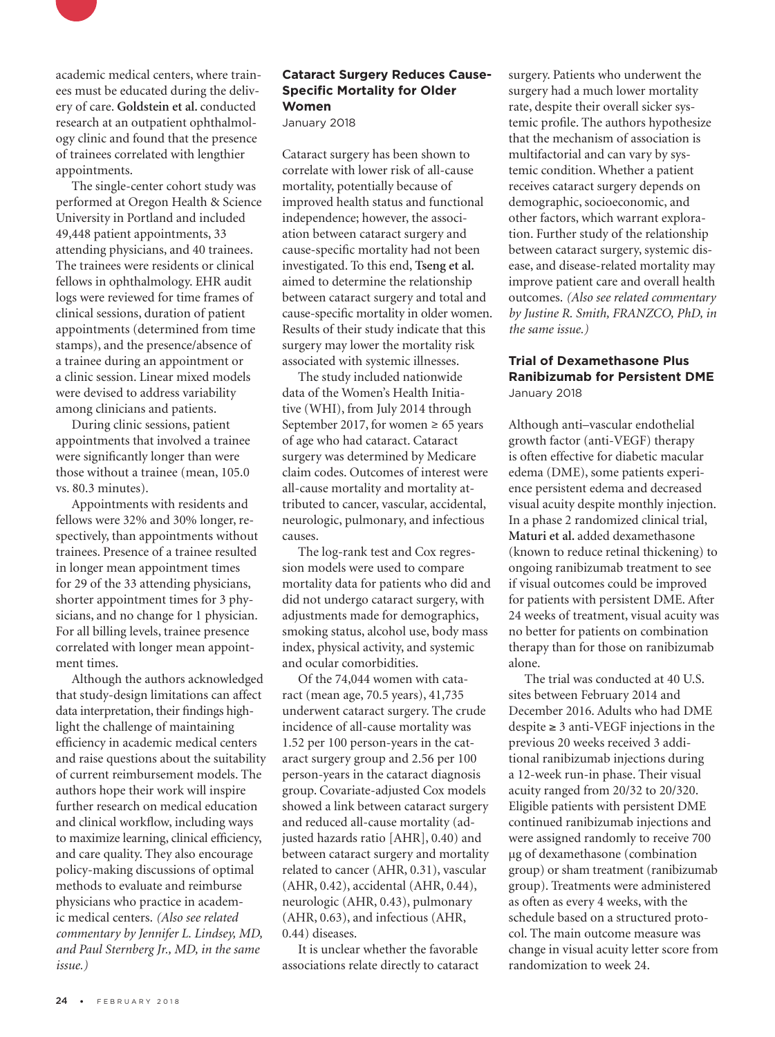

academic medical centers, where trainees must be educated during the delivery of care. **Goldstein et al.** conducted research at an outpatient ophthalmology clinic and found that the presence of trainees correlated with lengthier appointments.

The single-center cohort study was performed at Oregon Health & Science University in Portland and included 49,448 patient appointments, 33 attending physicians, and 40 trainees. The trainees were residents or clinical fellows in ophthalmology. EHR audit logs were reviewed for time frames of clinical sessions, duration of patient appointments (determined from time stamps), and the presence/absence of a trainee during an appointment or a clinic session. Linear mixed models were devised to address variability among clinicians and patients.

During clinic sessions, patient appointments that involved a trainee were significantly longer than were those without a trainee (mean, 105.0 vs. 80.3 minutes).

Appointments with residents and fellows were 32% and 30% longer, respectively, than appointments without trainees. Presence of a trainee resulted in longer mean appointment times for 29 of the 33 attending physicians, shorter appointment times for 3 physicians, and no change for 1 physician. For all billing levels, trainee presence correlated with longer mean appointment times.

Although the authors acknowledged that study-design limitations can affect data interpretation, their findings highlight the challenge of maintaining efficiency in academic medical centers and raise questions about the suitability of current reimbursement models. The authors hope their work will inspire further research on medical education and clinical workflow, including ways to maximize learning, clinical efficiency, and care quality. They also encourage policy-making discussions of optimal methods to evaluate and reimburse physicians who practice in academic medical centers. *(Also see related commentary by Jennifer L. Lindsey, MD, and Paul Sternberg Jr., MD, in the same issue.)*

#### **Cataract Surgery Reduces Cause-Specific Mortality for Older Women**

January 2018

Cataract surgery has been shown to correlate with lower risk of all-cause mortality, potentially because of improved health status and functional independence; however, the association between cataract surgery and cause-specific mortality had not been investigated. To this end, **Tseng et al.**  aimed to determine the relationship between cataract surgery and total and cause-specific mortality in older women. Results of their study indicate that this surgery may lower the mortality risk associated with systemic illnesses.

The study included nationwide data of the Women's Health Initiative (WHI), from July 2014 through September 2017, for women  $\geq 65$  years of age who had cataract. Cataract surgery was determined by Medicare claim codes. Outcomes of interest were all-cause mortality and mortality attributed to cancer, vascular, accidental, neurologic, pulmonary, and infectious causes.

The log-rank test and Cox regression models were used to compare mortality data for patients who did and did not undergo cataract surgery, with adjustments made for demographics, smoking status, alcohol use, body mass index, physical activity, and systemic and ocular comorbidities.

Of the 74,044 women with cataract (mean age, 70.5 years), 41,735 underwent cataract surgery. The crude incidence of all-cause mortality was 1.52 per 100 person-years in the cataract surgery group and 2.56 per 100 person-years in the cataract diagnosis group. Covariate-adjusted Cox models showed a link between cataract surgery and reduced all-cause mortality (adjusted hazards ratio [AHR], 0.40) and between cataract surgery and mortality related to cancer (AHR, 0.31), vascular (AHR, 0.42), accidental (AHR, 0.44), neurologic (AHR, 0.43), pulmonary (AHR, 0.63), and infectious (AHR, 0.44) diseases.

It is unclear whether the favorable associations relate directly to cataract surgery. Patients who underwent the surgery had a much lower mortality rate, despite their overall sicker systemic profile. The authors hypothesize that the mechanism of association is multifactorial and can vary by systemic condition. Whether a patient receives cataract surgery depends on demographic, socioeconomic, and other factors, which warrant exploration. Further study of the relationship between cataract surgery, systemic disease, and disease-related mortality may improve patient care and overall health outcomes. *(Also see related commentary by Justine R. Smith, FRANZCO, PhD, in the same issue.)*

#### **Trial of Dexamethasone Plus Ranibizumab for Persistent DME** January 2018

Although anti–vascular endothelial growth factor (anti-VEGF) therapy is often effective for diabetic macular edema (DME), some patients experience persistent edema and decreased visual acuity despite monthly injection. In a phase 2 randomized clinical trial, **Maturi et al.** added dexamethasone (known to reduce retinal thickening) to ongoing ranibizumab treatment to see if visual outcomes could be improved for patients with persistent DME. After 24 weeks of treatment, visual acuity was no better for patients on combination therapy than for those on ranibizumab alone.

The trial was conducted at 40 U.S. sites between February 2014 and December 2016. Adults who had DME despite ≥ 3 anti-VEGF injections in the previous 20 weeks received 3 additional ranibizumab injections during a 12-week run-in phase. Their visual acuity ranged from 20/32 to 20/320. Eligible patients with persistent DME continued ranibizumab injections and were assigned randomly to receive 700 µg of dexamethasone (combination group) or sham treatment (ranibizumab group). Treatments were administered as often as every 4 weeks, with the schedule based on a structured protocol. The main outcome measure was change in visual acuity letter score from randomization to week 24.